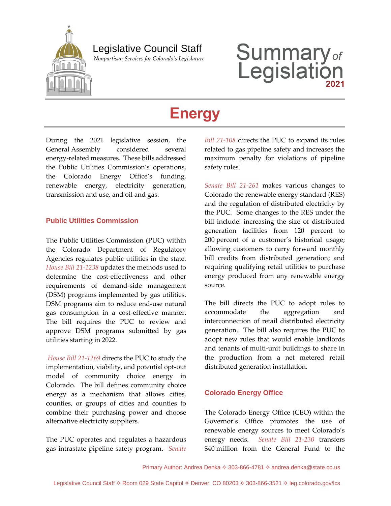

# Legislative Council Staff

 *Nonpartisan Services for Colorado's Legislature*

# **Summary**<sub>of</sub><br>Legislation

# **Energy**

During the 2021 legislative session, the General Assembly considered several energy-related measures. These bills addressed the Public Utilities Commission's operations, the Colorado Energy Office's funding, renewable energy, electricity generation, transmission and use, and oil and gas.

## **Public Utilities Commission**

The Public Utilities Commission (PUC) within the Colorado Department of Regulatory Agencies regulates public utilities in the state. *[House Bill 21-1238](https://leg.colorado.gov/bills/hb21-1238)* updates the methods used to determine the cost-effectiveness and other requirements of demand-side management (DSM) programs implemented by gas utilities. DSM programs aim to reduce end-use natural gas consumption in a cost-effective manner. The bill requires the PUC to review and approve DSM programs submitted by gas utilities starting in 2022.

*[House Bill](https://leg.colorado.gov/bills/hb21-1269) 21-1269* directs the PUC to study the implementation, viability, and potential opt-out model of community choice energy in Colorado. The bill defines community choice energy as a mechanism that allows cities, counties, or groups of cities and counties to combine their purchasing power and choose alternative electricity suppliers.

The PUC operates and regulates a hazardous gas intrastate pipeline safety program. *[Senate](https://leg.colorado.gov/bills/sb21-108)*  *[Bill 21-108](https://leg.colorado.gov/bills/sb21-108)* directs the PUC to expand its rules related to gas pipeline safety and increases the maximum penalty for violations of pipeline safety rules.

*[Senate Bill 21-261](https://leg.colorado.gov/bills/sb21-261)* makes various changes to Colorado the renewable energy standard (RES) and the regulation of distributed electricity by the PUC. Some changes to the RES under the bill include: increasing the size of distributed generation facilities from 120 percent to 200 percent of a customer's historical usage; allowing customers to carry forward monthly bill credits from distributed generation; and requiring qualifying retail utilities to purchase energy produced from any renewable energy source.

The bill directs the PUC to adopt rules to accommodate the aggregation and interconnection of retail distributed electricity generation. The bill also requires the PUC to adopt new rules that would enable landlords and tenants of multi-unit buildings to share in the production from a net metered retail distributed generation installation.

## **Colorado Energy Office**

The Colorado Energy Office (CEO) within the Governor's Office promotes the use of renewable energy sources to meet Colorado's energy needs. *[Senate Bill 21-230](https://leg.colorado.gov/bills/sb21-230)* transfers \$40 million from the General Fund to the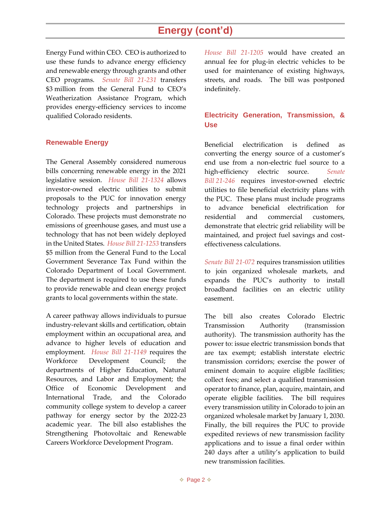# **Energy (cont'd)**

Energy Fund within CEO. CEO is authorized to use these funds to advance energy efficiency and renewable energy through grants and other CEO programs. *[Senate Bill 21-231](https://leg.colorado.gov/bills/sb21-231)* transfers \$3 million from the General Fund to CEO's Weatherization Assistance Program, which provides energy-efficiency services to income qualified Colorado residents.

#### **Renewable Energy**

The General Assembly considered numerous bills concerning renewable energy in the 2021 legislative session. *[House Bill 21-1324](https://leg.colorado.gov/bills/hb21-1324)* allows investor-owned electric utilities to submit proposals to the PUC for innovation energy technology projects and partnerships in Colorado. These projects must demonstrate no emissions of greenhouse gases, and must use a technology that has not been widely deployed in the United States. *[House Bill 21-1253](https://leg.colorado.gov/bills/hb21-1253)* transfers \$5 million from the General Fund to the Local Government Severance Tax Fund within the Colorado Department of Local Government. The department is required to use these funds to provide renewable and clean energy project grants to local governments within the state.

A career pathway allows individuals to pursue industry-relevant skills and certification, obtain employment within an occupational area, and advance to higher levels of education and employment. *[House Bill 21-1149](https://leg.colorado.gov/bills/hb21-1149)* requires the Workforce Development Council; the departments of Higher Education, Natural Resources, and Labor and Employment; the Office of Economic Development and International Trade, and the Colorado community college system to develop a career pathway for energy sector by the 2022-23 academic year. The bill also establishes the Strengthening Photovoltaic and Renewable Careers Workforce Development Program.

*[House Bill 21-1205](https://leg.colorado.gov/bills/hb21-1205)* would have created an annual fee for plug-in electric vehicles to be used for maintenance of existing highways, streets, and roads. The bill was postponed indefinitely.

#### **Electricity Generation, Transmission, & Use**

Beneficial electrification is defined as converting the energy source of a customer's end use from a non-electric fuel source to a high-efficiency electric source. *[Senate](https://leg.colorado.gov/bills/sb21-246)  Bill [21-246](https://leg.colorado.gov/bills/sb21-246)* requires investor-owned electric utilities to file beneficial electricity plans with the PUC. These plans must include programs to advance beneficial electrification for residential and commercial customers, demonstrate that electric grid reliability will be maintained, and project fuel savings and costeffectiveness calculations.

*[Senate Bill 21-072](https://leg.colorado.gov/bills/sb21-072)* requires transmission utilities to join organized wholesale markets, and expands the PUC's authority to install broadband facilities on an electric utility easement.

The bill also creates Colorado Electric Transmission Authority (transmission authority). The transmission authority has the power to: issue electric transmission bonds that are tax exempt; establish interstate electric transmission corridors; exercise the power of eminent domain to acquire eligible facilities; collect fees; and select a qualified transmission operator to finance, plan, acquire, maintain, and operate eligible facilities. The bill requires every transmission utility in Colorado to join an organized wholesale market by January 1, 2030. Finally, the bill requires the PUC to provide expedited reviews of new transmission facility applications and to issue a final order within 240 days after a utility's application to build new transmission facilities.